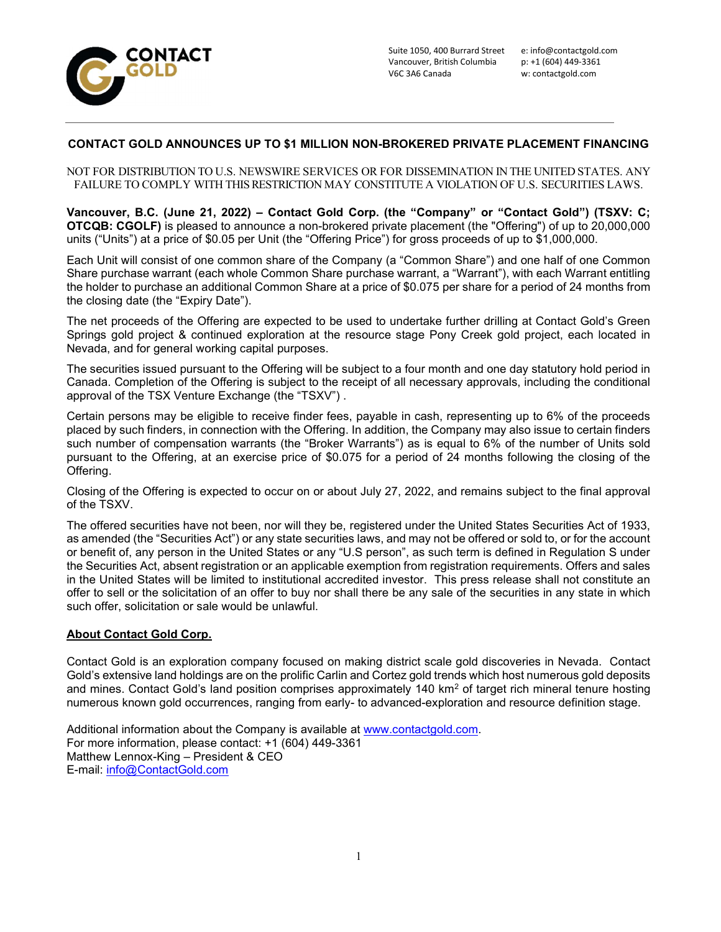

## CONTACT GOLD ANNOUNCES UP TO \$1 MILLION NON-BROKERED PRIVATE PLACEMENT FINANCING

NOT FOR DISTRIBUTION TO U.S. NEWSWIRE SERVICES OR FOR DISSEMINATION IN THE UNITED STATES. ANY FAILURE TO COMPLY WITH THIS RESTRICTION MAY CONSTITUTE A VIOLATION OF U.S. SECURITIES LAWS.

Vancouver, B.C. (June 21, 2022) – Contact Gold Corp. (the "Company" or "Contact Gold") (TSXV: C; OTCQB: CGOLF) is pleased to announce a non-brokered private placement (the "Offering") of up to 20,000,000 units ("Units") at a price of \$0.05 per Unit (the "Offering Price") for gross proceeds of up to \$1,000,000.

Each Unit will consist of one common share of the Company (a "Common Share") and one half of one Common Share purchase warrant (each whole Common Share purchase warrant, a "Warrant"), with each Warrant entitling the holder to purchase an additional Common Share at a price of \$0.075 per share for a period of 24 months from the closing date (the "Expiry Date").

The net proceeds of the Offering are expected to be used to undertake further drilling at Contact Gold's Green Springs gold project & continued exploration at the resource stage Pony Creek gold project, each located in Nevada, and for general working capital purposes.

The securities issued pursuant to the Offering will be subject to a four month and one day statutory hold period in Canada. Completion of the Offering is subject to the receipt of all necessary approvals, including the conditional approval of the TSX Venture Exchange (the "TSXV") .

Certain persons may be eligible to receive finder fees, payable in cash, representing up to 6% of the proceeds placed by such finders, in connection with the Offering. In addition, the Company may also issue to certain finders such number of compensation warrants (the "Broker Warrants") as is equal to 6% of the number of Units sold pursuant to the Offering, at an exercise price of \$0.075 for a period of 24 months following the closing of the Offering.

Closing of the Offering is expected to occur on or about July 27, 2022, and remains subject to the final approval of the TSXV.

The offered securities have not been, nor will they be, registered under the United States Securities Act of 1933, as amended (the "Securities Act") or any state securities laws, and may not be offered or sold to, or for the account or benefit of, any person in the United States or any "U.S person", as such term is defined in Regulation S under the Securities Act, absent registration or an applicable exemption from registration requirements. Offers and sales in the United States will be limited to institutional accredited investor. This press release shall not constitute an offer to sell or the solicitation of an offer to buy nor shall there be any sale of the securities in any state in which such offer, solicitation or sale would be unlawful.

## About Contact Gold Corp.

Contact Gold is an exploration company focused on making district scale gold discoveries in Nevada. Contact Gold's extensive land holdings are on the prolific Carlin and Cortez gold trends which host numerous gold deposits and mines. Contact Gold's land position comprises approximately 140 km² of target rich mineral tenure hosting numerous known gold occurrences, ranging from early- to advanced-exploration and resource definition stage.

Additional information about the Company is available at www.contactgold.com. For more information, please contact: +1 (604) 449-3361 Matthew Lennox-King – President & CEO E-mail: info@ContactGold.com